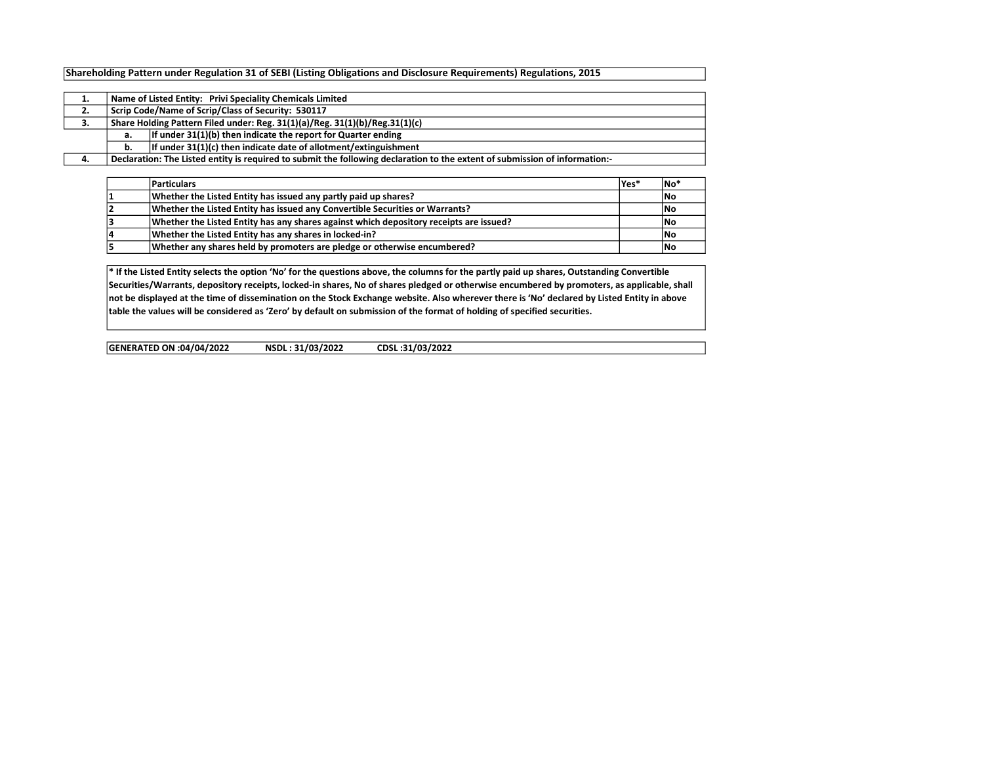## Shareholding Pattern under Regulation 31 of SEBI (Listing Obligations and Disclosure Requirements) Regulations, 2015

| 1. |                                                                          | Name of Listed Entity: Privi Speciality Chemicals Limited                                                                   |  |  |  |  |  |  |  |  |  |  |  |  |
|----|--------------------------------------------------------------------------|-----------------------------------------------------------------------------------------------------------------------------|--|--|--|--|--|--|--|--|--|--|--|--|
| 2. |                                                                          | Scrip Code/Name of Scrip/Class of Security: 530117                                                                          |  |  |  |  |  |  |  |  |  |  |  |  |
| з. |                                                                          | Share Holding Pattern Filed under: Reg. 31(1)(a)/Reg. 31(1)(b)/Reg.31(1)(c)                                                 |  |  |  |  |  |  |  |  |  |  |  |  |
|    | а.                                                                       | If under 31(1)(b) then indicate the report for Quarter ending                                                               |  |  |  |  |  |  |  |  |  |  |  |  |
|    | If under $31(1)(c)$ then indicate date of allotment/extinguishment<br>b. |                                                                                                                             |  |  |  |  |  |  |  |  |  |  |  |  |
| 4. |                                                                          | Declaration: The Listed entity is required to submit the following declaration to the extent of submission of information:- |  |  |  |  |  |  |  |  |  |  |  |  |

|    | Particulars                                                                            | lYes* | No' |
|----|----------------------------------------------------------------------------------------|-------|-----|
|    | Whether the Listed Entity has issued any partly paid up shares?                        |       | No  |
|    | Whether the Listed Entity has issued any Convertible Securities or Warrants?           |       | No  |
|    | Whether the Listed Entity has any shares against which depository receipts are issued? |       | No  |
| 14 | Whether the Listed Entity has any shares in locked-in?                                 |       | No  |
|    | Whether any shares held by promoters are pledge or otherwise encumbered?               |       | No  |

\* If the Listed Entity selects the option 'No' for the questions above, the columns for the partly paid up shares, Outstanding Convertible Securities/Warrants, depository receipts, locked-in shares, No of shares pledged or otherwise encumbered by promoters, as applicable, shall not be displayed at the time of dissemination on the Stock Exchange website. Also wherever there is 'No' declared by Listed Entity in above table the values will be considered as 'Zero' by default on submission of the format of holding of specified securities.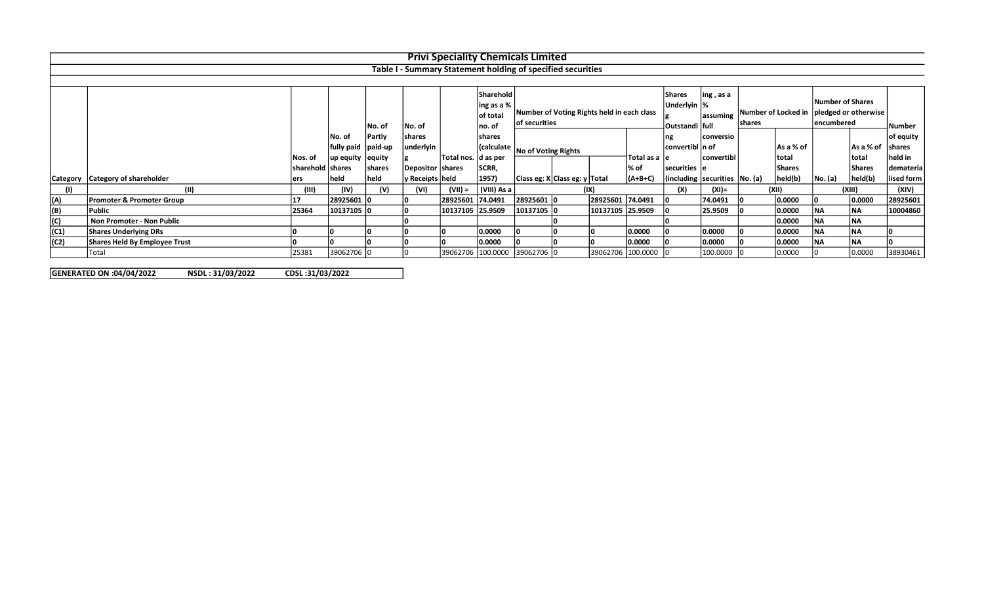|          |                                      |                  |                     |        |                    |                      |                                            | <b>Privi Speciality Chemicals Limited</b>                   |                                                   |                   |                 |                                       |                            |           |               |                                                                |                |            |
|----------|--------------------------------------|------------------|---------------------|--------|--------------------|----------------------|--------------------------------------------|-------------------------------------------------------------|---------------------------------------------------|-------------------|-----------------|---------------------------------------|----------------------------|-----------|---------------|----------------------------------------------------------------|----------------|------------|
|          |                                      |                  |                     |        |                    |                      |                                            | Table I - Summary Statement holding of specified securities |                                                   |                   |                 |                                       |                            |           |               |                                                                |                |            |
|          |                                      |                  |                     |        |                    |                      |                                            |                                                             |                                                   |                   |                 |                                       |                            |           |               |                                                                |                |            |
|          |                                      |                  |                     |        |                    |                      | <b>Sharehold</b><br>ing as a %<br>of total | Number of Voting Rights held in each class                  |                                                   |                   |                 | <b>Shares</b><br>Underlyin  %         | $\ln g$ , as a<br>assuming |           |               | Number of Shares<br>Number of Locked in   pledged or otherwise |                |            |
|          |                                      |                  |                     | No. of | No. of             |                      | no. of                                     | of securities                                               |                                                   |                   |                 | Outstandi   full                      |                            | lshares   |               |                                                                | encumbered     |            |
|          |                                      |                  | No. of              | Partly | shares             |                      | shares                                     |                                                             |                                                   |                   |                 | Ing                                   | conversio                  |           |               |                                                                |                | of equity  |
|          |                                      |                  | fully paid  paid-up |        | underlyin          |                      |                                            |                                                             | (Calculate   No of Voting Rights<br>Total as a le |                   | convertibl n of |                                       |                            | As a % of |               | As a % of                                                      | <b>Ishares</b> |            |
|          |                                      | Nos. of          | up equity  equity   |        |                    | Total nos.  d as per |                                            |                                                             |                                                   |                   |                 |                                       | convertibl                 |           | ltotal        |                                                                | total          | lheld in   |
|          |                                      | sharehold shares |                     | shares | Depositor   shares |                      | SCRR,                                      |                                                             |                                                   |                   | l% of           | securities le                         |                            |           | <b>Shares</b> |                                                                | <b>Shares</b>  | demateria  |
| Category | Category of shareholder              | ers              | held                | held   | ly Receipts   held |                      | 1957)                                      | Class eg: X Class eg: y Total                               |                                                   |                   | $(A+B+C)$       | $ $ (including securities $ No. (a) $ |                            |           | held(b)       | No. (a)                                                        | held(b)        | lised form |
|          | (11)                                 | (III)            | (IV)                | (V)    | (VI)               | (VII) =              | (VIII) As a                                |                                                             |                                                   | (IX)              |                 | (X)                                   | $(XI) =$                   |           | (XII)         |                                                                | (XIII)         | (XIV)      |
| (A)      | <b>Promoter &amp; Promoter Group</b> |                  | 28925601 0          |        |                    | 28925601 74.0491     |                                            | 28925601 0                                                  |                                                   | 28925601 74.0491  |                 |                                       | 74.0491                    |           | 0.0000        |                                                                | 0.0000         | 28925601   |
| (B)      | Public                               | 25364            | 10137105 0          |        |                    | 10137105 25.9509     |                                            | 10137105 C                                                  |                                                   | 10137105 25.9509  |                 |                                       | 25.9509                    |           | 0.0000        | <b>NA</b>                                                      | <b>NA</b>      | 10004860   |
| (C)      | Non Promoter - Non Public            |                  |                     |        |                    |                      |                                            |                                                             |                                                   |                   |                 |                                       |                            |           | 0.0000        | INA.                                                           | <b>NA</b>      |            |
| (C1)     | <b>Shares Underlying DRs</b>         |                  |                     |        |                    |                      | 0.0000                                     |                                                             |                                                   |                   | 0.0000          |                                       | 0.0000                     |           | 0.0000        | <b>NA</b>                                                      | <b>INA</b>     |            |
| (C2)     | <b>Shares Held By Employee Trust</b> |                  |                     |        |                    |                      | 0.0000                                     |                                                             |                                                   |                   | 0.0000          |                                       | 0.0000                     |           | 0.0000        | <b>NA</b>                                                      | <b>NA</b>      |            |
|          | Total                                | 25381            | 39062706 0          |        |                    |                      |                                            | 39062706 100.0000 39062706 0                                |                                                   | 39062706 100.0000 |                 |                                       | 100.0000                   |           | 0.0000        |                                                                | 0.0000         | 38930461   |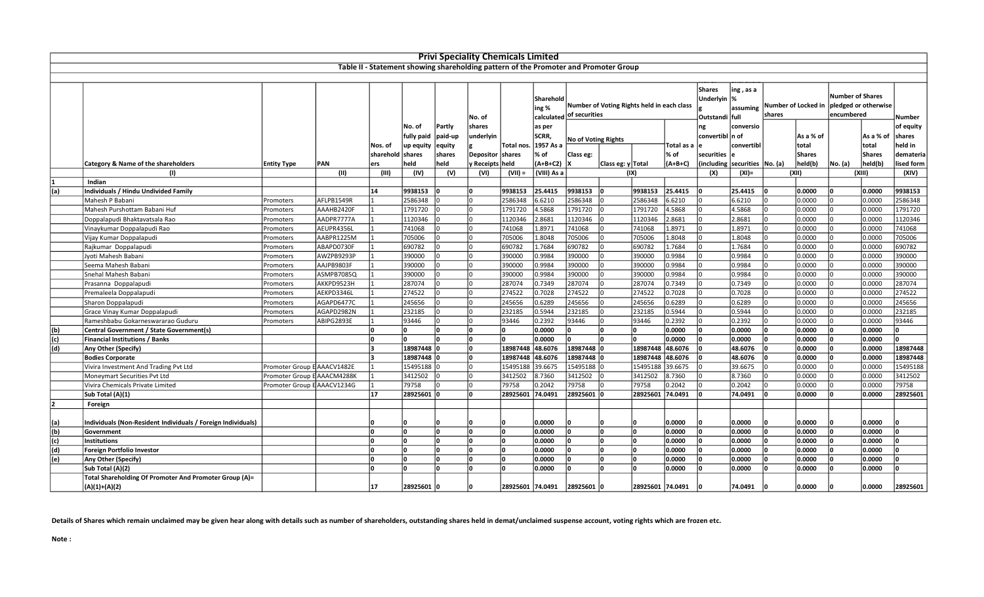|     |                                                              |                             |            |                             |                      |                   | <b>Privi Speciality Chemicals Limited</b> |                  |                    |                            |                                                                                      |                     |                       |                                                          |        |                        |                                                               |                      |
|-----|--------------------------------------------------------------|-----------------------------|------------|-----------------------------|----------------------|-------------------|-------------------------------------------|------------------|--------------------|----------------------------|--------------------------------------------------------------------------------------|---------------------|-----------------------|----------------------------------------------------------|--------|------------------------|---------------------------------------------------------------|----------------------|
|     |                                                              |                             |            |                             |                      |                   |                                           |                  |                    |                            | Table II - Statement showing shareholding pattern of the Promoter and Promoter Group |                     |                       |                                                          |        |                        |                                                               |                      |
|     |                                                              |                             |            |                             |                      |                   |                                           |                  |                    |                            |                                                                                      |                     |                       |                                                          |        |                        |                                                               |                      |
|     |                                                              |                             |            |                             |                      |                   | No. of                                    |                  | Sharehold<br>ing % |                            | Number of Voting Rights held in each class<br>calculated of securities               |                     |                       | ing , as a<br>Underlyin  %<br>assuming<br>Outstandi full | shares | Number of Locked in    | <b>Number of Shares</b><br>pledged or otherwise<br>encumbered | Number               |
|     |                                                              |                             |            |                             | No. of<br>fully paid | Partly<br>paid-up | shares<br>underlyin                       |                  | as per<br>SCRR,    | <b>No of Voting Rights</b> |                                                                                      |                     | ng<br>convertibl n of | conversio                                                |        | As a % of              | As a % of                                                     | of equity<br>shares  |
|     |                                                              |                             |            | Nos. of<br>sharehold shares | up equity            | equity<br>shares  | Depositor   shares                        | Total nos.       | 1957 As a<br>% of  | Class eg:                  |                                                                                      | Total as a<br>∣% of | securities            | convertibl                                               |        | total<br><b>Shares</b> | total<br>Shares                                               | held in<br>demateria |
|     | <b>Category &amp; Name of the shareholders</b>               | <b>Entity Type</b>          | PAN        | ers                         | held                 | held              | y Receipts   held                         |                  | (A+B+C2)           | ΙX                         | Class eg: y Total                                                                    | $(A+B+C)$           | including             | securities   No. (a)                                     |        | held(b)                | held(b)<br>No. (a)                                            | lised form           |
|     | (1)                                                          |                             | (II)       | (III)                       | (IV)                 | (V)               | (VI)                                      | $(VII) =$        | (VIII) As a        |                            | (IX)                                                                                 |                     | (X)                   | $(XI) =$                                                 |        | (XII)                  | (XIII)                                                        | (XIV)                |
|     | Indian                                                       |                             |            |                             |                      |                   |                                           |                  |                    |                            |                                                                                      |                     |                       |                                                          |        |                        |                                                               |                      |
| (a) | Individuals / Hindu Undivided Family                         |                             |            | 14                          | 9938153              | n                 |                                           | 9938153          | 25.4415            | 9938153                    | 9938153                                                                              | 25.4415             |                       | 25.4415                                                  |        | 0.0000                 | 0.0000                                                        | 9938153              |
|     | Mahesh P Babani                                              | Promoters                   | AFLPB1549R |                             | 2586348              |                   | I٥                                        | 2586348          | 6.6210             | 2586348                    | 2586348                                                                              | 6.6210              |                       | 6.6210                                                   |        | 0.0000                 | 0.0000                                                        | 2586348              |
|     | Mahesh Purshottam Babani Huf                                 | Promoters                   | AAAHB2420F |                             | 1791720              |                   | I٥                                        | 1791720          | 4.5868             | 1791720                    | 1791720                                                                              | 4.5868              | U                     | 4.5868                                                   |        | 0.0000                 | 0.0000                                                        | 1791720              |
|     | Doppalapudi Bhaktavatsala Rao                                | Promoters                   | AADPR7777A |                             | 1120346              |                   |                                           | 1120346          | 2.8681             | 1120346                    | 1120346                                                                              | 2.8681              |                       | 2.8681                                                   |        | 0.0000                 | 0.0000                                                        | 1120346              |
|     | Vinaykumar Doppalapudi Rao                                   | Promoters                   | AEUPR4356L |                             | 741068               |                   | I٥                                        | 741068           | 1.8971             | 741068                     | 741068                                                                               | 1.8971              |                       | 1.8971                                                   |        | 0.0000                 | 0.0000                                                        | 741068               |
|     | Vijay Kumar Doppalapudi                                      | Promoters                   | AABPR1225M |                             | 705006               | <sup>0</sup>      | I٥                                        | 705006           | 1.8048             | 705006                     | 705006                                                                               | 1.8048              |                       | 1.8048                                                   |        | 0.0000                 | 0.0000                                                        | 705006               |
|     | Rajkumar Doppalapudi                                         | Promoters                   | ABAPD0730F |                             | 690782               |                   |                                           | 690782           | 1.7684             | 690782                     | 690782                                                                               | 1.7684              |                       | 1.7684                                                   |        | 0.0000                 | 0.0000                                                        | 690782               |
|     | Jyoti Mahesh Babani                                          | Promoters                   | AWZPB9293F |                             | 390000               |                   |                                           | 390000           | 0.9984             | 390000                     | 390000                                                                               | 0.9984              |                       | 0.9984                                                   |        | 0.0000                 | 0.0000                                                        | 390000               |
|     | Seema Mahesh Babani                                          | Promoters                   | AAJPB9803F |                             | 390000               |                   | I٥                                        | 390000           | 0.9984             | 390000                     | 390000                                                                               | 0.9984              |                       | 0.9984                                                   |        | 0.0000                 | 0.0000                                                        | 390000               |
|     | Snehal Mahesh Babani                                         | Promoters                   | ASMPB7085Q |                             | 390000               |                   | I٥                                        | 390000           | 0.9984             | 390000                     | 390000<br><sup>0</sup>                                                               | 0.9984              | $\Omega$              | 0.9984                                                   |        | 0.0000                 | 0.0000<br>I۵                                                  | 390000               |
|     | Prasanna Doppalapudi                                         | Promoters                   | AKKPD9523H |                             | 287074               |                   |                                           | 287074           | 0.7349             | 287074                     | 287074                                                                               | 0.7349              |                       | 0.7349                                                   |        | 0.0000                 | 0.0000                                                        | 287074               |
|     | Premaleela Doppalapudi                                       | Promoters                   | AEKPD3346L |                             | 274522               |                   | I٥                                        | 274522           | 0.7028             | 274522                     | 274522                                                                               | 0.7028              |                       | 0.7028                                                   |        | 0.0000                 | 0.0000                                                        | 274522               |
|     | Sharon Doppalapudi                                           | Promoters                   | AGAPD6477C |                             | 245656               |                   |                                           | 245656           | 0.6289             | 245656                     | 245656                                                                               | 0.6289              |                       | 0.6289                                                   |        | 0.0000                 | 0.0000                                                        | 245656               |
|     | Grace Vinay Kumar Doppalapudi                                | Promoters                   | AGAPD2982N |                             | 232185               |                   |                                           | 232185           | 0.5944             | 232185                     | 232185                                                                               | 0.5944              |                       | 0.5944                                                   |        | 0.0000                 | 0.0000                                                        | 232185               |
|     | Rameshbabu Gokarneswararao Guduru                            | Promoters                   | ABIPG2893E |                             | 93446                |                   |                                           | 93446            | 0.2392             | 93446                      | 93446                                                                                | 0.2392              |                       | 0.2392                                                   |        | 0.0000                 | 0.0000                                                        | 93446                |
| (b) | Central Government / State Government(s)                     |                             |            |                             |                      | n                 |                                           | n                | 0.0000             |                            | $\Omega$                                                                             | 0.0000              |                       | 0.0000                                                   |        | 0.0000                 | 0.0000                                                        | n                    |
| (c) | <b>Financial Institutions / Banks</b>                        |                             |            |                             | n                    | n.                | l٥                                        | l٥               | 0.0000             | l∩                         | $\Omega$<br>l∩                                                                       | 0.0000              | $\Omega$              | 0.0000                                                   |        | 0.0000                 | 0.0000<br>ln.                                                 | l٥                   |
| (d) | Any Other (Specify)                                          |                             |            |                             | 18987448             | ١n                | l٥                                        | 18987448         | 48.6076            | 18987448                   | ١n                                                                                   | 18987448 48.6076    |                       | 48.6076                                                  |        | 0.0000                 | 0.0000                                                        | 18987448             |
|     | <b>Bodies Corporate</b>                                      |                             |            |                             | 18987448             |                   | I٥                                        | 18987448         | 48.6076            | 18987448                   | 18987448                                                                             | 48.6076             |                       | 48.6076                                                  |        | 0.0000                 | 0.0000                                                        | 18987448             |
|     | Vivira Investment And Trading Pvt Ltd                        | Promoter Group E AAACV1482E |            |                             | 15495188             |                   |                                           | 15495188         | 39.6675            | 15495188                   | 15495188                                                                             | 39.6675             |                       | 39.6675                                                  |        | 0.0000                 | 0.0000                                                        | 15495188             |
|     | Moneymart Securities Pvt Ltd                                 | Promoter Group E AAACM4288K |            |                             | 3412502              |                   | I٥                                        | 3412502          | 8.7360             | 3412502                    | 3412502                                                                              | 8.7360              |                       | 8.7360                                                   |        | 0.0000                 | 0.0000                                                        | 3412502              |
|     | Vivira Chemicals Private Limited                             | Promoter Group E AAACV1234G |            |                             | 79758                |                   |                                           | 79758            | 0.2042             | 79758                      | 79758                                                                                | 0.2042              |                       | 0.2042                                                   |        | 0.0000                 | 0.0000                                                        | 79758                |
|     | Sub Total (A)(1)                                             |                             |            | 17                          | 28925601 0           |                   |                                           | 28925601         | 74.0491            | 28925601                   | 28925601                                                                             | 74.0491             |                       | 74.0491                                                  |        | 0.0000                 | 0.0000                                                        | 28925601             |
| 2   | Foreign                                                      |                             |            |                             |                      |                   |                                           |                  |                    |                            |                                                                                      |                     |                       |                                                          |        |                        |                                                               |                      |
|     |                                                              |                             |            |                             |                      |                   |                                           |                  |                    |                            |                                                                                      |                     |                       |                                                          |        |                        |                                                               |                      |
| (a) | Individuals (Non-Resident Individuals / Foreign Individuals) |                             |            |                             |                      |                   |                                           | ١n               | 0.0000             |                            |                                                                                      | 0.0000              |                       | 0.0000                                                   |        | 0.0000                 | 0.0000                                                        |                      |
| (b) | Government                                                   |                             |            |                             | l٥                   | n.                | l٥                                        | ١n               | 0.0000             |                            | <sup>n</sup>                                                                         | 0.0000              |                       | 0.0000                                                   |        | 0.0000                 | 0.0000                                                        | l٥                   |
| (c) | Institutions                                                 |                             |            |                             | l٥                   | <sup>0</sup>      | l٥                                        | ١o               | 0.0000             |                            | <sup>0</sup><br>l٥                                                                   | 0.0000              |                       | 0.0000                                                   |        | 0.0000                 | 0.0000                                                        | 'n                   |
| (d) | Foreign Portfolio Investor                                   |                             |            |                             | n                    | <sup>0</sup>      | l٥                                        | ١o               | 0.0000             |                            | <sup>0</sup>                                                                         | 0.0000              |                       | 0.0000                                                   |        | 0.0000                 | 0.0000                                                        | l٥                   |
| (e) | Any Other (Specify)                                          |                             |            |                             | 'n                   | <sup>0</sup>      | l٥                                        | ١o               | 0.0000             |                            | <sup>0</sup>                                                                         | 0.0000              |                       | 0.0000                                                   |        | 0.0000                 | 0.0000                                                        |                      |
|     | Sub Total (A)(2)                                             |                             |            |                             |                      |                   |                                           |                  | 0.0000             |                            |                                                                                      | 0.0000              |                       | 0.0000                                                   |        | 0.0000                 | 0.0000                                                        |                      |
|     | Total Shareholding Of Promoter And Promoter Group (A)=       |                             |            |                             |                      |                   |                                           |                  |                    |                            |                                                                                      |                     |                       |                                                          |        |                        |                                                               |                      |
|     | $(A)(1)+(A)(2)$                                              |                             |            | 17                          | 28925601 0           |                   |                                           | 28925601 74.0491 |                    | 28925601 0                 |                                                                                      | 28925601 74.0491    |                       | 74.0491                                                  |        | 0.0000                 | 0.0000                                                        | 28925601             |

Details of Shares which remain unclaimed may be given hear along with details such as number of shareholders, outstanding shares held in demat/unclaimed suspense account, voting rights which are frozen etc.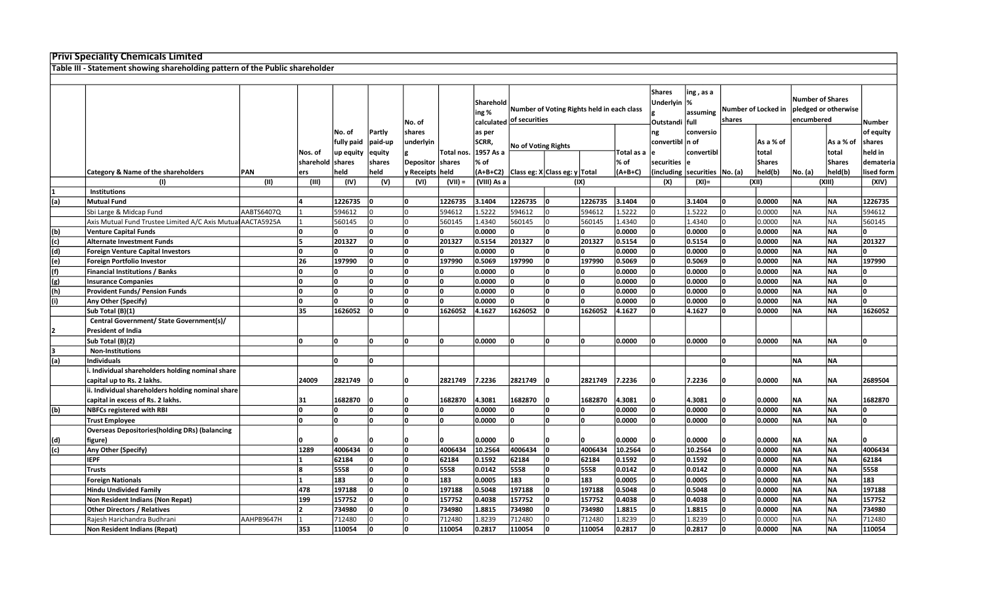## Privi Speciality Chemicals Limited

Table III - Statement showing shareholding pattern of the Public shareholder

|     |                                                             |            |                  |                   |               |                   |            |                  |                            |                                            |         |            | <b>Shares</b>    | ing , as a                      |                     |               | <b>Number of Shares</b> |                      |              |
|-----|-------------------------------------------------------------|------------|------------------|-------------------|---------------|-------------------|------------|------------------|----------------------------|--------------------------------------------|---------|------------|------------------|---------------------------------|---------------------|---------------|-------------------------|----------------------|--------------|
|     |                                                             |            |                  |                   |               |                   |            | <b>Sharehold</b> |                            | Number of Voting Rights held in each class |         |            | Underlyin        | %                               | Number of Locked in |               |                         | pledged or otherwise |              |
|     |                                                             |            |                  |                   |               |                   |            | ing %            |                            |                                            |         |            |                  | assuming                        | shares              |               | encumbered              |                      |              |
|     |                                                             |            |                  |                   |               | No. of            |            |                  | calculated of securities   |                                            |         |            | Outstandi full   |                                 |                     |               |                         |                      | Number       |
|     |                                                             |            |                  | No. of            | <b>Partly</b> | shares            |            | as per           |                            |                                            |         |            | ng               | conversio                       |                     |               |                         |                      | of equity    |
|     |                                                             |            |                  | fully paid        | paid-up       | underlyin         |            | SCRR,            | <b>No of Voting Rights</b> |                                            |         |            | convertibl  n of |                                 |                     | As a % of     |                         | As a % of            | shares       |
|     |                                                             |            | Nos. of          | up equity  equity |               |                   | Total nos. | 1957 As a        |                            |                                            |         | Total as a |                  | convertibl                      |                     | total         |                         | total                | held in      |
|     |                                                             |            | sharehold shares |                   | shares        | Depositor shares  |            | l% of            |                            |                                            |         | % of       | securities       |                                 |                     | <b>Shares</b> |                         | <b>Shares</b>        | dematerial   |
|     | Category & Name of the shareholders                         | PAN        | ers              | held              | held          | / Receipts   held |            | $(A+B+C2)$       |                            | Class eg: X Class eg: y Total              |         | $(A+B+C)$  |                  | (including  securities  No. (a) |                     | held(b)       | No. (a)                 | held(b)              | lised form   |
|     | (1)                                                         | (11)       | (III)            | (IV)              | (V)           | (VI)              | $(VII) =$  | (VIII) As a      |                            | (IX)                                       |         |            | (X)              | $(XI) =$                        |                     | (XII)         |                         | (XIII)               | (XIV)        |
|     | <b>Institutions</b>                                         |            |                  |                   |               |                   |            |                  |                            |                                            |         |            |                  |                                 |                     |               |                         |                      |              |
| (a) | <b>Mutual Fund</b>                                          |            |                  | 1226735           | ١o            | l٥                | 1226735    | 3.1404           | 1226735                    |                                            | 1226735 | 3.1404     | ١O               | 3.1404                          | l0                  | 0.0000        | ΝA                      | NA                   | 1226735      |
|     | Sbi Large & Midcap Fund                                     | AABTS6407Q |                  | 594612            | In            | I٥                | 594612     | 1.5222           | 594612                     |                                            | 594612  | 1.5222     |                  | 1.5222                          | U                   | 0.0000        | <b>NA</b>               | <b>NA</b>            | 594612       |
|     | Axis Mutual Fund Trustee Limited A/C Axis Mutual AACTA5925A |            |                  | 560145            | I٥            | l٥                | 560145     | 1.4340           | 560145                     |                                            | 560145  | 1.4340     |                  | 1.4340                          | U                   | 0.0000        | <b>NA</b>               | NA                   | 560145       |
| (b) | <b>Venture Capital Funds</b>                                |            |                  | l٥                | ١o            | l٥                |            | 0.0000           |                            |                                            |         | 0.0000     |                  | 0.0000                          |                     | 0.0000        | ΝA                      | İNA                  |              |
| (c) | <b>Alternate Investment Funds</b>                           |            |                  | 201327            | l٥            | l٥                | 201327     | 0.5154           | 201327                     |                                            | 201327  | 0.5154     |                  | 0.5154                          |                     | 0.0000        | <b>NA</b>               | ∣NA                  | 201327       |
| (d) | <b>Foreign Venture Capital Investors</b>                    |            | 0                | l٥                | ١o            | l٥                | n.         | 0.0000           |                            |                                            | U       | 0.0000     | l٥               | 0.0000                          | ln.                 | 0.0000        | <b>NA</b>               | ∣NA                  | <b>n</b>     |
| (e) | Foreign Portfolio Investor                                  |            | 26               | 197990            | ١o            | l٥                | 197990     | 0.5069           | 197990                     |                                            | 197990  | 0.5069     |                  | 0.5069                          |                     | 0.0000        | <b>NA</b>               | İNA                  | 197990       |
| (f) | <b>Financial Institutions / Banks</b>                       |            |                  |                   | l٥            | l٥                | $\Omega$   | 0.0000           |                            |                                            |         | 0.0000     |                  | 0.0000                          |                     | 0.0000        | <b>NA</b>               | İNA                  | $\Omega$     |
| (g) | <b>Insurance Companies</b>                                  |            | O.               | l٥                | l٥            | l٥                | O          | 0.0000           |                            |                                            |         | 0.0000     | I۵               | 0.0000                          | U                   | 0.0000        | <b>NA</b>               | lna.                 | $\Omega$     |
| (h) | <b>Provident Funds/ Pension Funds</b>                       |            | n                | l٨                | l٥            | l٥                | n          | 0.0000           |                            |                                            |         | 0.0000     |                  | 0.0000                          |                     | 0.0000        | <b>NA</b>               | İNA                  | I٥           |
| (i) | Any Other (Specify)                                         |            | O.               | l∩                | ١o            | l٥                | n          | 0.0000           |                            |                                            |         | 0.0000     |                  | 0.0000                          |                     | 0.0000        | <b>NA</b>               | ∣NA                  | l٥           |
|     | Sub Total (B)(1)                                            |            | 35               | 1626052           |               |                   | 1626052    | 4.1627           | 1626052                    |                                            | 1626052 | 4.1627     |                  | 4.1627                          |                     | 0.0000        | NΑ                      | <b>NA</b>            | 1626052      |
|     | Central Government/ State Government(s)/                    |            |                  |                   |               |                   |            |                  |                            |                                            |         |            |                  |                                 |                     |               |                         |                      |              |
|     | <b>President of India</b>                                   |            |                  |                   |               |                   |            |                  |                            |                                            |         |            |                  |                                 |                     |               |                         |                      |              |
|     | Sub Total (B)(2)                                            |            | n.               | I٥                | ١o            | l٥                | lo.        | 0.0000           |                            | l∩                                         | 'n      | 0.0000     | ١n               | 0.0000                          | 'n                  | 0.0000        | INA.                    | INA.                 | <sup>0</sup> |
|     | <b>Non-Institutions</b>                                     |            |                  |                   |               |                   |            |                  |                            |                                            |         |            |                  |                                 |                     |               |                         |                      |              |
| (a) | <b>Individuals</b>                                          |            |                  | l٥                | ١o            |                   |            |                  |                            |                                            |         |            |                  |                                 | n.                  |               | NA                      | INA.                 |              |
|     | Individual shareholders holding nominal share               |            |                  |                   |               |                   |            |                  |                            |                                            |         |            |                  |                                 |                     |               |                         |                      |              |
|     | capital up to Rs. 2 lakhs.                                  |            | 24009            | 2821749           |               | I۵                | 2821749    | 7.2236           | 2821749                    |                                            | 2821749 | 7.2236     |                  | 7.2236                          |                     | 0.0000        | ΝA                      | NA                   | 2689504      |
|     | ii. Individual shareholders holding nominal share           |            |                  |                   |               |                   |            |                  |                            |                                            |         |            |                  |                                 |                     |               |                         |                      |              |
|     | capital in excess of Rs. 2 lakhs.                           |            | 31               | 1682870           |               |                   | 1682870    | 4.3081           | 1682870                    |                                            | 1682870 | 4.3081     |                  | 4.3081                          |                     | 0.0000        | ΝA                      | NA                   | 1682870      |
| (b) | <b>NBFCs registered with RBI</b>                            |            | 0                | l۵                | l٥            | lo.               | n          | 0.0000           |                            | <sup>n</sup>                               | n       | 0.0000     | I٥               | 0.0000                          | ln.                 | 0.0000        | <b>NA</b>               | İNA                  | 0            |
|     | <b>Trust Employee</b>                                       |            | n                | l٨                | l٥            | l٥                | $\Omega$   | 0.0000           |                            |                                            |         | 0.0000     |                  | 0.0000                          |                     | 0.0000        | <b>NA</b>               | INA.                 | l٥           |
|     | <b>Overseas Depositories (holding DRs) (balancing</b>       |            |                  |                   |               |                   |            |                  |                            |                                            |         |            |                  |                                 |                     |               |                         |                      |              |
| (d) | figure)                                                     |            |                  |                   |               |                   |            | 0.0000           |                            |                                            |         | 0.0000     |                  | 0.0000                          |                     | 0.0000        | ΝA                      | NA                   |              |
| (c) | Any Other (Specify)                                         |            | 1289             | 4006434           | l٥            | l٥                | 4006434    | 10.2564          | 4006434                    |                                            | 4006434 | 10.2564    |                  | 10.2564                         |                     | 0.0000        | <b>NA</b>               | ∣NA                  | 4006434      |
|     | <b>IEPF</b>                                                 |            |                  | 62184             | I٥            | l٥                | 62184      | 0.1592           | 62184                      |                                            | 62184   | 0.1592     |                  | 0.1592                          |                     | 0.0000        | <b>NA</b>               | İNA                  | 62184        |
|     | <b>Trusts</b>                                               |            |                  | 5558              | ١o            | l٥                | 5558       | 0.0142           | 5558                       |                                            | 5558    | 0.0142     |                  | 0.0142                          |                     | 0.0000        | <b>NA</b>               | <b>NA</b>            | 5558         |
|     | <b>Foreign Nationals</b>                                    |            |                  | 183               | l٥            | l٥                | 183        | 0.0005           | 183                        |                                            | 183     | 0.0005     | ın               | 0.0005                          | U                   | 0.0000        | <b>NA</b>               | lna.                 | 183          |
|     | <b>Hindu Undivided Family</b>                               |            | 478              | 197188            | ١o            | l٥                | 197188     | 0.5048           | 197188                     |                                            | 197188  | 0.5048     |                  | 0.5048                          | 'n                  | 0.0000        | <b>NA</b>               | İNA                  | 197188       |
|     | Non Resident Indians (Non Repat)                            |            | 199              | 157752            | ١o            | l٥                | 157752     | 0.4038           | 157752                     |                                            | 157752  | 0.4038     | ın               | 0.4038                          |                     | 0.0000        | <b>NA</b>               | INA.                 | 157752       |
|     | <b>Other Directors / Relatives</b>                          |            |                  | 734980            | l٥            | l٥                | 734980     | 1.8815           | 734980                     |                                            | 734980  | 1.8815     |                  | 1.8815                          |                     | 0.0000        | ΝA                      | NA                   | 734980       |
|     | Rajesh Harichandra Budhrani                                 | AAHPB9647H |                  | 712480            | l٥            | l٥                | 712480     | 1.8239           | 712480                     |                                            | 712480  | 1.8239     |                  | 1.8239                          | ۱O                  | 0.0000        | NA                      | <b>NA</b>            | 712480       |
|     | <b>Non Resident Indians (Repat)</b>                         |            | 353              | 110054            | l٥            | l٥                | 110054     | 0.2817           | 110054                     |                                            | 110054  | 0.2817     | ١o               | 0.2817                          | ۱O                  | 0.0000        | <b>NA</b>               | İNA                  | 110054       |
|     |                                                             |            |                  |                   |               |                   |            |                  |                            |                                            |         |            |                  |                                 |                     |               |                         |                      |              |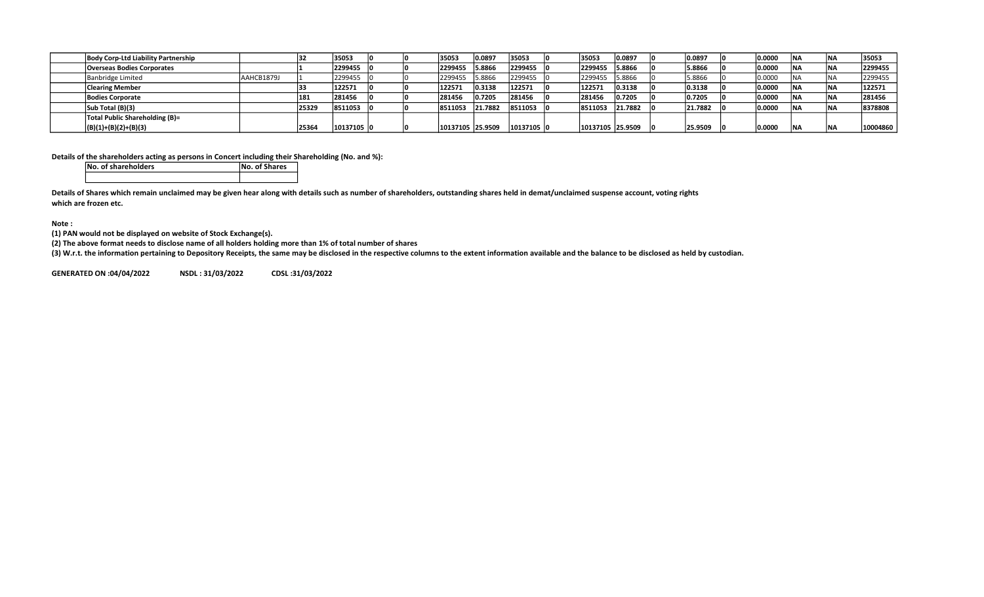| Body Corp-Ltd Liability Partnership |            |       | 35053      |  | 35053            | 0.0897  | 35053       | 35053            | 10.0897 | 0.0897  | 0.0000 | 'NA | INA        | 35053    |
|-------------------------------------|------------|-------|------------|--|------------------|---------|-------------|------------------|---------|---------|--------|-----|------------|----------|
| <b>Overseas Bodies Corporates</b>   |            |       | 2299455    |  | 2299455          | 5.8866  | 2299455     | 2299455          | 5.8866  | 5.8866  | 0.0000 |     | INA        | 2299455  |
| Banbridge Limited                   | AAHCB1879J |       | 2299455    |  | 2299455          | 5.8866  | 12299455    | 2299455          | 5.8866  | 5.8866  | 0.0000 |     | 1 N1A      | 2299455  |
| <b>Clearing Member</b>              |            |       | 122571     |  | 122571           | 0.3138  | 122571      | 122571           | 0.3138  | 0.3138  | 0.0000 |     | I NI A     | 122571   |
| <b>Bodies Corporate</b>             |            | 181   | 281456     |  | 281456           | 0.7205  | 281456      | 281456           | 0.7205  | 0.7205  | 0.0000 |     | INA        | 281456   |
| Sub Total (B)(3)                    |            | 25329 | 8511053    |  | 8511053          | 21.7882 | 8511053     | 8511053          | 21.7882 | 21.7882 | 0.0000 |     | <b>INA</b> | 8378808  |
| Total Public Shareholding (B)=      |            |       |            |  |                  |         |             |                  |         |         |        |     |            |          |
| $ (B)(1)+(B)(2)+(B)(3) $            |            | 2536  | 10137105 0 |  | 10137105 25.9509 |         | 10137105  0 | 10137105 25.9509 |         | 25.9509 | 0.0000 |     | IN/        | 10004860 |

Details of the shareholders acting as persons in Concert including their Shareholding (No. and %):

No. of shareholders **No. of Shares** 

Details of Shares which remain unclaimed may be given hear along with details such as number of shareholders, outstanding shares held in demat/unclaimed suspense account, voting rights which are frozen etc.

Note :

(1) PAN would not be displayed on website of Stock Exchange(s).

(2) The above format needs to disclose name of all holders holding more than 1% of total number of shares

(3) W.r.t. the information pertaining to Depository Receipts, the same may be disclosed in the respective columns to the extent information available and the balance to be disclosed as held by custodian.